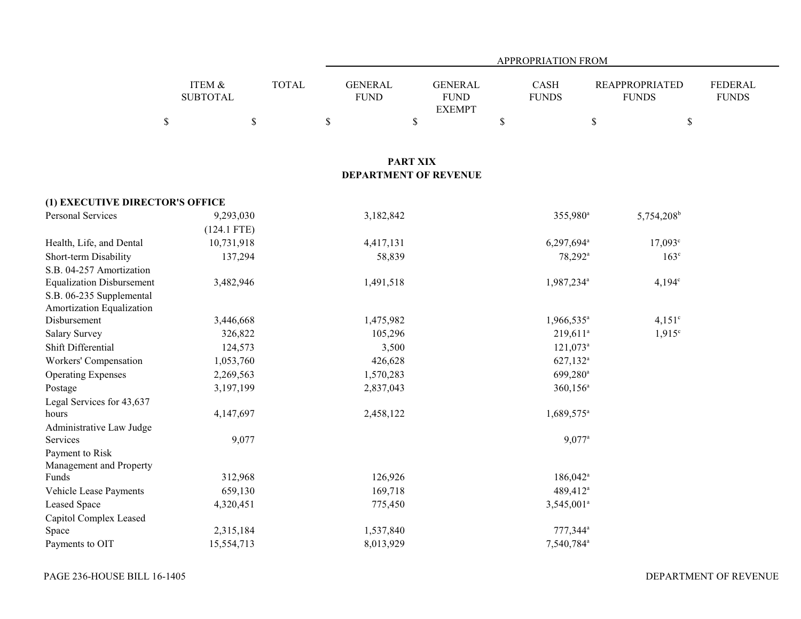|                                  |                           |              |                               |                                                 | APPROPRIATION FROM   |                        |                                       |                                |
|----------------------------------|---------------------------|--------------|-------------------------------|-------------------------------------------------|----------------------|------------------------|---------------------------------------|--------------------------------|
|                                  | ITEM &<br><b>SUBTOTAL</b> | <b>TOTAL</b> | <b>GENERAL</b><br><b>FUND</b> | <b>GENERAL</b><br>${\rm FUND}$<br><b>EXEMPT</b> | CASH<br><b>FUNDS</b> |                        | <b>REAPPROPRIATED</b><br><b>FUNDS</b> | <b>FEDERAL</b><br><b>FUNDS</b> |
|                                  | $\mathbb{S}$<br>\$        |              | $\mathbb S$                   | \$                                              | \$                   | \$                     | $\mathbb S$                           |                                |
|                                  |                           |              |                               |                                                 |                      |                        |                                       |                                |
|                                  |                           |              |                               | <b>PART XIX</b><br><b>DEPARTMENT OF REVENUE</b> |                      |                        |                                       |                                |
| (1) EXECUTIVE DIRECTOR'S OFFICE  |                           |              |                               |                                                 |                      |                        |                                       |                                |
| Personal Services                | 9,293,030                 |              | 3,182,842                     |                                                 |                      | 355,980 <sup>a</sup>   | 5,754,208 <sup>b</sup>                |                                |
|                                  | $(124.1$ FTE)             |              |                               |                                                 |                      |                        |                                       |                                |
| Health, Life, and Dental         | 10,731,918                |              | 4,417,131                     |                                                 |                      | 6,297,694 <sup>a</sup> | $17,093^{\circ}$                      |                                |
| Short-term Disability            | 137,294                   |              | 58,839                        |                                                 |                      | 78,292 <sup>a</sup>    | 163 <sup>c</sup>                      |                                |
| S.B. 04-257 Amortization         |                           |              |                               |                                                 |                      |                        |                                       |                                |
| <b>Equalization Disbursement</b> | 3,482,946                 |              | 1,491,518                     |                                                 |                      | 1,987,234 <sup>a</sup> | $4,194^c$                             |                                |
| S.B. 06-235 Supplemental         |                           |              |                               |                                                 |                      |                        |                                       |                                |
| Amortization Equalization        |                           |              |                               |                                                 |                      |                        |                                       |                                |
| Disbursement                     | 3,446,668                 |              | 1,475,982                     |                                                 |                      | 1,966,535 <sup>a</sup> | $4,151^{\circ}$                       |                                |
| <b>Salary Survey</b>             | 326,822                   |              | 105,296                       |                                                 |                      | $219,611^a$            | $1,915^{\circ}$                       |                                |
| Shift Differential               | 124,573                   |              | 3,500                         |                                                 |                      | $121,073$ <sup>a</sup> |                                       |                                |
| Workers' Compensation            | 1,053,760                 |              | 426,628                       |                                                 |                      | 627,132 <sup>a</sup>   |                                       |                                |
| <b>Operating Expenses</b>        | 2,269,563                 |              | 1,570,283                     |                                                 |                      | 699,280 <sup>a</sup>   |                                       |                                |
| Postage                          | 3,197,199                 |              | 2,837,043                     |                                                 |                      | $360, 156^a$           |                                       |                                |
| Legal Services for 43,637        |                           |              |                               |                                                 |                      |                        |                                       |                                |
| hours                            | 4,147,697                 |              | 2,458,122                     |                                                 |                      | 1,689,575 <sup>a</sup> |                                       |                                |
| Administrative Law Judge         |                           |              |                               |                                                 |                      |                        |                                       |                                |
| Services                         | 9,077                     |              |                               |                                                 |                      | $9,077$ <sup>a</sup>   |                                       |                                |
| Payment to Risk                  |                           |              |                               |                                                 |                      |                        |                                       |                                |
| Management and Property<br>Funds | 312,968                   |              | 126,926                       |                                                 |                      | $186,042$ <sup>a</sup> |                                       |                                |
| Vehicle Lease Payments           | 659,130                   |              | 169,718                       |                                                 |                      | 489,412 <sup>a</sup>   |                                       |                                |
| <b>Leased Space</b>              | 4,320,451                 |              | 775,450                       |                                                 |                      | 3,545,001 <sup>a</sup> |                                       |                                |
| Capitol Complex Leased           |                           |              |                               |                                                 |                      |                        |                                       |                                |
| Space                            | 2,315,184                 |              | 1,537,840                     |                                                 |                      | 777,344 <sup>a</sup>   |                                       |                                |
| Payments to OIT                  | 15,554,713                |              | 8,013,929                     |                                                 |                      | 7,540,784 <sup>a</sup> |                                       |                                |
|                                  |                           |              |                               |                                                 |                      |                        |                                       |                                |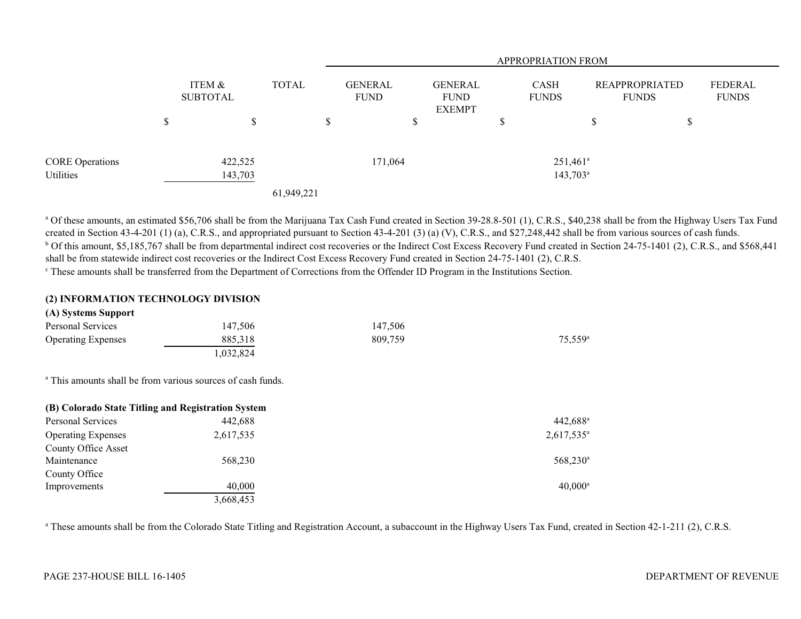|                        |                           |              |                               | APPROPRIATION FROM                             |                             |                                       |    |                                |  |
|------------------------|---------------------------|--------------|-------------------------------|------------------------------------------------|-----------------------------|---------------------------------------|----|--------------------------------|--|
|                        | ITEM &<br><b>SUBTOTAL</b> | <b>TOTAL</b> | <b>GENERAL</b><br><b>FUND</b> | <b>GENERAL</b><br><b>FUND</b><br><b>EXEMPT</b> | <b>CASH</b><br><b>FUNDS</b> | <b>REAPPROPRIATED</b><br><b>FUNDS</b> |    | <b>FEDERAL</b><br><b>FUNDS</b> |  |
|                        | \$<br>S                   |              | \$                            | \$                                             | D                           | <sup>\$</sup>                         | \$ |                                |  |
| <b>CORE Operations</b> | 422,525                   |              | 171,064                       |                                                | $251,461$ <sup>a</sup>      |                                       |    |                                |  |
| Utilities              | 143,703                   | 61,949,221   |                               |                                                |                             | $143,703^{\circ}$                     |    |                                |  |

<sup>a</sup> Of these amounts, an estimated \$56,706 shall be from the Marijuana Tax Cash Fund created in Section 39-28.8-501 (1), C.R.S., \$40,238 shall be from the Highway Users Tax Fund created in Section 43-4-201 (1) (a), C.R.S., and appropriated pursuant to Section 43-4-201 (3) (a) (V), C.R.S., and \$27,248,442 shall be from various sources of cash funds. <sup>b</sup> Of this amount, \$5,185,767 shall be from departmental indirect cost recoveries or the Indirect Cost Excess Recovery Fund created in Section 24-75-1401 (2), C.R.S., and \$568,441 shall be from statewide indirect cost recoveries or the Indirect Cost Excess Recovery Fund created in Section 24-75-1401 (2), C.R.S.

<sup>c</sup> These amounts shall be transferred from the Department of Corrections from the Offender ID Program in the Institutions Section.

## **(2) INFORMATION TECHNOLOGY DIVISION**

| (A) Systems Support       |          |         |                       |
|---------------------------|----------|---------|-----------------------|
| Personal Services         | 147,506  | 147,506 |                       |
| <b>Operating Expenses</b> | 885.318  | 809.759 | $75.559$ <sup>a</sup> |
|                           | .032.824 |         |                       |

<sup>a</sup> This amounts shall be from various sources of cash funds.

| (B) Colorado State Titling and Registration System |           |                      |
|----------------------------------------------------|-----------|----------------------|
| Personal Services                                  | 442,688   | 442,688 <sup>a</sup> |
| <b>Operating Expenses</b>                          | 2,617,535 | $2,617,535^{\circ}$  |
| <b>County Office Asset</b>                         |           |                      |
| Maintenance                                        | 568,230   | 568,230 <sup>a</sup> |
| County Office                                      |           |                      |
| Improvements                                       | 40,000    | $40.000^{\circ}$     |
|                                                    | 3,668,453 |                      |

<sup>a</sup> These amounts shall be from the Colorado State Titling and Registration Account, a subaccount in the Highway Users Tax Fund, created in Section 42-1-211 (2), C.R.S.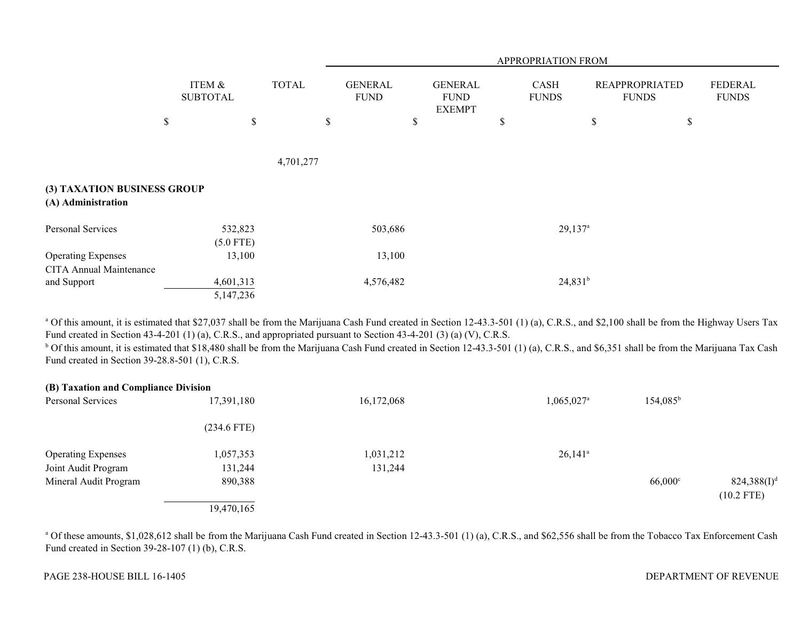|                                                             |                           |              |                               |                                                | <b>APPROPRIATION FROM</b>   |                       |                                       |                         |
|-------------------------------------------------------------|---------------------------|--------------|-------------------------------|------------------------------------------------|-----------------------------|-----------------------|---------------------------------------|-------------------------|
|                                                             | ITEM &<br><b>SUBTOTAL</b> | <b>TOTAL</b> | <b>GENERAL</b><br><b>FUND</b> | <b>GENERAL</b><br><b>FUND</b><br><b>EXEMPT</b> | <b>CASH</b><br><b>FUNDS</b> |                       | <b>REAPPROPRIATED</b><br><b>FUNDS</b> | FEDERAL<br><b>FUNDS</b> |
|                                                             | \$                        | $\mathbb{S}$ | $\$$<br>\$                    |                                                | \$                          | \$                    | $\mathbb S$                           |                         |
|                                                             |                           | 4,701,277    |                               |                                                |                             |                       |                                       |                         |
| (3) TAXATION BUSINESS GROUP<br>(A) Administration           |                           |              |                               |                                                |                             |                       |                                       |                         |
| Personal Services                                           | 532,823<br>$(5.0$ FTE)    |              | 503,686                       |                                                |                             | $29,137$ <sup>a</sup> |                                       |                         |
| <b>Operating Expenses</b><br><b>CITA Annual Maintenance</b> | 13,100                    |              | 13,100                        |                                                |                             |                       |                                       |                         |
| and Support                                                 | 4,601,313<br>5,147,236    |              | 4,576,482                     |                                                |                             | $24,831^b$            |                                       |                         |

<sup>a</sup> Of this amount, it is estimated that \$27,037 shall be from the Marijuana Cash Fund created in Section 12-43.3-501 (1) (a), C.R.S., and \$2,100 shall be from the Highway Users Tax Fund created in Section 43-4-201 (1) (a), C.R.S., and appropriated pursuant to Section 43-4-201 (3) (a) (V), C.R.S.

<sup>b</sup> Of this amount, it is estimated that \$18,480 shall be from the Marijuana Cash Fund created in Section 12-43.3-501 (1) (a), C.R.S., and \$6,351 shall be from the Marijuana Tax Cash Fund created in Section 39-28.8-501 (1), C.R.S.

| (B) Taxation and Compliance Division |               |            |                          |                   |                                |
|--------------------------------------|---------------|------------|--------------------------|-------------------|--------------------------------|
| Personal Services                    | 17,391,180    | 16,172,068 | $1,065,027$ <sup>a</sup> | $154,085^{\rm b}$ |                                |
|                                      | $(234.6$ FTE) |            |                          |                   |                                |
| <b>Operating Expenses</b>            | 1,057,353     | 1,031,212  | $26,141^a$               |                   |                                |
| Joint Audit Program                  | 131,244       | 131,244    |                          |                   |                                |
| Mineral Audit Program                | 890,388       |            |                          | $66,000^{\circ}$  | $824,388(I)^d$<br>$(10.2$ FTE) |
|                                      | 19,470,165    |            |                          |                   |                                |

<sup>a</sup> Of these amounts, \$1,028,612 shall be from the Marijuana Cash Fund created in Section 12-43.3-501 (1) (a), C.R.S., and \$62,556 shall be from the Tobacco Tax Enforcement Cash Fund created in Section 39-28-107 (1) (b), C.R.S.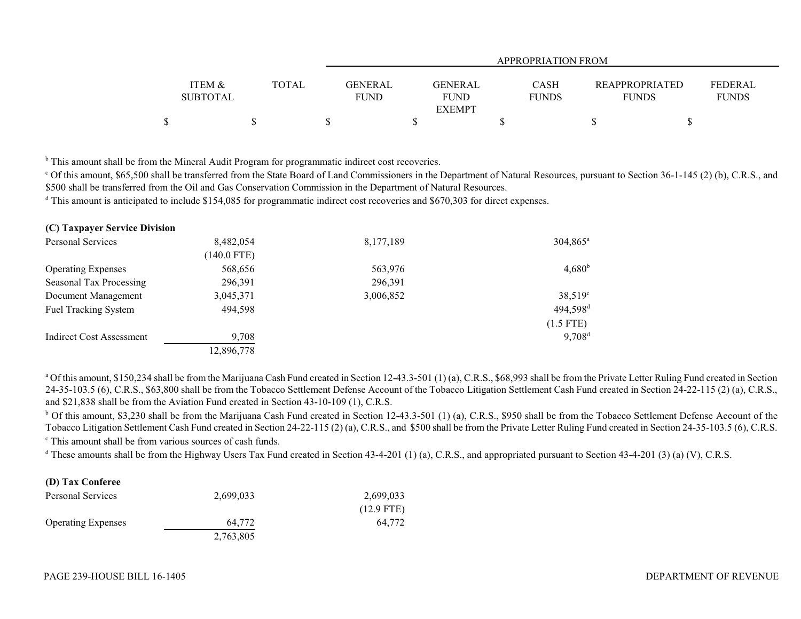|                 |              |                | APPROPRIATION FROM |              |                       |                |  |  |  |  |  |
|-----------------|--------------|----------------|--------------------|--------------|-----------------------|----------------|--|--|--|--|--|
|                 |              |                |                    |              |                       |                |  |  |  |  |  |
| ITEM &          | <b>TOTAL</b> | <b>GENERAL</b> | <b>GENERAL</b>     | <b>CASH</b>  | <b>REAPPROPRIATED</b> | <b>FEDERAL</b> |  |  |  |  |  |
| <b>SUBTOTAL</b> |              | <b>FUND</b>    | <b>FUND</b>        | <b>FUNDS</b> | <b>FUNDS</b>          | <b>FUNDS</b>   |  |  |  |  |  |
|                 |              |                | <b>EXEMPT</b>      |              |                       |                |  |  |  |  |  |
|                 |              |                |                    |              |                       |                |  |  |  |  |  |

<sup>b</sup> This amount shall be from the Mineral Audit Program for programmatic indirect cost recoveries.

<sup>c</sup> Of this amount, \$65,500 shall be transferred from the State Board of Land Commissioners in the Department of Natural Resources, pursuant to Section 36-1-145 (2) (b), C.R.S., and \$500 shall be transferred from the Oil and Gas Conservation Commission in the Department of Natural Resources.

<sup>d</sup> This amount is anticipated to include \$154,085 for programmatic indirect cost recoveries and \$670,303 for direct expenses.

| (C) Taxpayer Service Division |               |           |                      |
|-------------------------------|---------------|-----------|----------------------|
| <b>Personal Services</b>      | 8,482,054     | 8,177,189 | 304,865 <sup>a</sup> |
|                               | $(140.0$ FTE) |           |                      |
| <b>Operating Expenses</b>     | 568,656       | 563,976   | $4,680^{\rm b}$      |
| Seasonal Tax Processing       | 296,391       | 296,391   |                      |
| Document Management           | 3,045,371     | 3,006,852 | $38,519^{\circ}$     |
| <b>Fuel Tracking System</b>   | 494,598       |           | 494,598 <sup>d</sup> |
|                               |               |           | $(1.5$ FTE)          |
| Indirect Cost Assessment      | 9,708         |           | $9,708^d$            |
|                               | 12,896,778    |           |                      |

<sup>a</sup> Of this amount, \$150,234 shall be from the Marijuana Cash Fund created in Section 12-43.3-501 (1) (a), C.R.S., \$68,993 shall be from the Private Letter Ruling Fund created in Section 24-35-103.5 (6), C.R.S., \$63,800 shall be from the Tobacco Settlement Defense Account of the Tobacco Litigation Settlement Cash Fund created in Section 24-22-115 (2) (a), C.R.S., and \$21,838 shall be from the Aviation Fund created in Section 43-10-109 (1), C.R.S.

 $b$  Of this amount, \$3,230 shall be from the Marijuana Cash Fund created in Section 12-43.3-501 (1) (a), C.R.S., \$950 shall be from the Tobacco Settlement Defense Account of the Tobacco Litigation Settlement Cash Fund created in Section 24-22-115 (2) (a), C.R.S., and \$500 shall be from the Private Letter Ruling Fund created in Section 24-35-103.5 (6), C.R.S.

c This amount shall be from various sources of cash funds.

<sup>d</sup> These amounts shall be from the Highway Users Tax Fund created in Section 43-4-201 (1) (a), C.R.S., and appropriated pursuant to Section 43-4-201 (3) (a) (V), C.R.S.

## **(D) Tax Conferee**

| Personal Services         | 2,699,033 | 2,699,033    |
|---------------------------|-----------|--------------|
|                           |           | $(12.9$ FTE) |
| <b>Operating Expenses</b> | 64.772    | 64,772       |
|                           | 2,763,805 |              |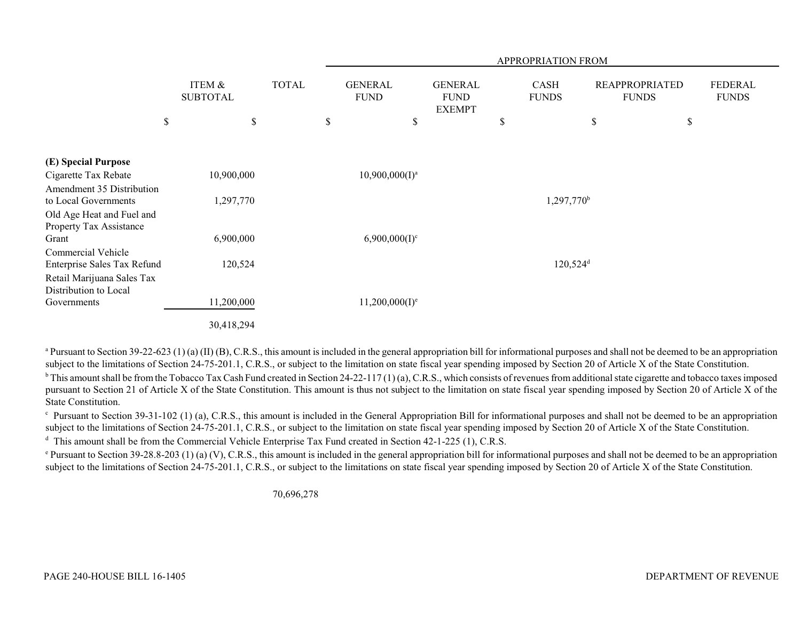|                                                           |                           |              |                               |                                                | APPROPRIATION FROM          |                                       |                                |
|-----------------------------------------------------------|---------------------------|--------------|-------------------------------|------------------------------------------------|-----------------------------|---------------------------------------|--------------------------------|
|                                                           | ITEM &<br><b>SUBTOTAL</b> | <b>TOTAL</b> | <b>GENERAL</b><br><b>FUND</b> | <b>GENERAL</b><br><b>FUND</b><br><b>EXEMPT</b> | <b>CASH</b><br><b>FUNDS</b> | <b>REAPPROPRIATED</b><br><b>FUNDS</b> | <b>FEDERAL</b><br><b>FUNDS</b> |
| $\mathbb S$                                               |                           | \$           | \$<br>$\$$                    |                                                | \$                          | $\mathbb S$                           | \$                             |
|                                                           |                           |              |                               |                                                |                             |                                       |                                |
| (E) Special Purpose                                       |                           |              |                               |                                                |                             |                                       |                                |
| Cigarette Tax Rebate                                      | 10,900,000                |              | $10,900,000(I)^a$             |                                                |                             |                                       |                                |
| Amendment 35 Distribution                                 |                           |              |                               |                                                |                             |                                       |                                |
| to Local Governments                                      | 1,297,770                 |              |                               |                                                | $1,297,770^{\rm b}$         |                                       |                                |
| Old Age Heat and Fuel and                                 |                           |              |                               |                                                |                             |                                       |                                |
| Property Tax Assistance                                   |                           |              |                               |                                                |                             |                                       |                                |
| Grant                                                     | 6,900,000                 |              | $6,900,000(1)^c$              |                                                |                             |                                       |                                |
| Commercial Vehicle                                        |                           |              |                               |                                                |                             |                                       |                                |
| Enterprise Sales Tax Refund<br>Retail Marijuana Sales Tax | 120,524                   |              |                               |                                                | $120,524$ <sup>d</sup>      |                                       |                                |
| Distribution to Local                                     |                           |              |                               |                                                |                             |                                       |                                |
| Governments                                               | 11,200,000                |              | $11,200,000(I)^e$             |                                                |                             |                                       |                                |
|                                                           | 30,418,294                |              |                               |                                                |                             |                                       |                                |

<sup>a</sup> Pursuant to Section 39-22-623 (1) (a) (II) (B), C.R.S., this amount is included in the general appropriation bill for informational purposes and shall not be deemed to be an appropriation subject to the limitations of Section 24-75-201.1, C.R.S., or subject to the limitation on state fiscal year spending imposed by Section 20 of Article X of the State Constitution.

 $b$  This amount shall be from the Tobacco Tax Cash Fund created in Section 24-22-117 (1) (a), C.R.S., which consists of revenues from additional state cigarette and tobacco taxes imposed pursuant to Section 21 of Article X of the State Constitution. This amount is thus not subject to the limitation on state fiscal year spending imposed by Section 20 of Article X of the State Constitution.

 $\degree$  Pursuant to Section 39-31-102 (1) (a), C.R.S., this amount is included in the General Appropriation Bill for informational purposes and shall not be deemed to be an appropriation subject to the limitations of Section 24-75-201.1, C.R.S., or subject to the limitation on state fiscal year spending imposed by Section 20 of Article X of the State Constitution.

<sup>d</sup> This amount shall be from the Commercial Vehicle Enterprise Tax Fund created in Section 42-1-225 (1), C.R.S.

 $^{\circ}$  Pursuant to Section 39-28.8-203 (1) (a) (V), C.R.S., this amount is included in the general appropriation bill for informational purposes and shall not be deemed to be an appropriation subject to the limitations of Section 24-75-201.1, C.R.S., or subject to the limitations on state fiscal year spending imposed by Section 20 of Article X of the State Constitution.

70,696,278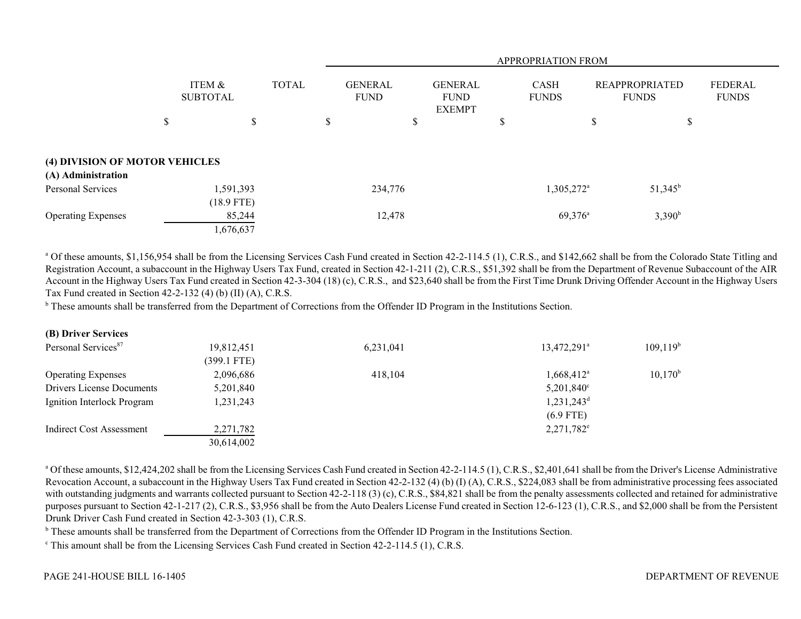|                                                      |                           |        |              |   | <b>APPROPRIATION FROM</b>     |    |                                                |    |                             |                                       |            |                                |
|------------------------------------------------------|---------------------------|--------|--------------|---|-------------------------------|----|------------------------------------------------|----|-----------------------------|---------------------------------------|------------|--------------------------------|
|                                                      | ITEM &<br><b>SUBTOTAL</b> |        | <b>TOTAL</b> |   | <b>GENERAL</b><br><b>FUND</b> |    | <b>GENERAL</b><br><b>FUND</b><br><b>EXEMPT</b> |    | <b>CASH</b><br><b>FUNDS</b> | <b>REAPPROPRIATED</b><br><b>FUNDS</b> |            | <b>FEDERAL</b><br><b>FUNDS</b> |
|                                                      | \$                        | \$     |              | S |                               | \$ |                                                | Лb |                             | \$                                    | \$         |                                |
| (4) DIVISION OF MOTOR VEHICLES<br>(A) Administration |                           |        |              |   |                               |    |                                                |    |                             |                                       |            |                                |
| <b>Personal Services</b>                             | 1,591,393<br>$(18.9$ FTE) |        |              |   | 234,776                       |    |                                                |    | 1,305,272 <sup>a</sup>      |                                       | $51,345^b$ |                                |
| <b>Operating Expenses</b>                            | 1,676,637                 | 85,244 |              |   | 12,478                        |    |                                                |    | $69,376^{\circ}$            |                                       | $3,390^b$  |                                |

<sup>a</sup> Of these amounts, \$1,156,954 shall be from the Licensing Services Cash Fund created in Section 42-2-114.5 (1), C.R.S., and \$142,662 shall be from the Colorado State Titling and Registration Account, a subaccount in the Highway Users Tax Fund, created in Section 42-1-211 (2), C.R.S., \$51,392 shall be from the Department of Revenue Subaccount of the AIR Account in the Highway Users Tax Fund created in Section 42-3-304 (18) (c), C.R.S., and \$23,640 shall be from the First Time Drunk Driving Offender Account in the Highway Users Tax Fund created in Section 42-2-132 (4) (b) (II) (A), C.R.S.

<sup>b</sup> These amounts shall be transferred from the Department of Corrections from the Offender ID Program in the Institutions Section.

| 19,812,451    | 6,231,041 | 13,472,291 <sup>a</sup> | 109,119 <sup>b</sup> |
|---------------|-----------|-------------------------|----------------------|
| $(399.1$ FTE) |           |                         |                      |
| 2,096,686     | 418,104   | $1,668,412^{\rm a}$     | $10,170^b$           |
| 5,201,840     |           | $5,201,840^{\circ}$     |                      |
| 1,231,243     |           | $1,231,243^d$           |                      |
|               |           | $(6.9$ FTE)             |                      |
| 2,271,782     |           | $2,271,782^e$           |                      |
| 30,614,002    |           |                         |                      |
|               |           |                         |                      |

<sup>a</sup> Of these amounts, \$12,424,202 shall be from the Licensing Services Cash Fund created in Section 42-2-114.5 (1), C.R.S., \$2,401,641 shall be from the Driver's License Administrative Revocation Account, a subaccount in the Highway Users Tax Fund created in Section 42-2-132 (4) (b) (I) (A), C.R.S., \$224,083 shall be from administrative processing fees associated with outstanding judgments and warrants collected pursuant to Section 42-2-118 (3) (c), C.R.S., \$84,821 shall be from the penalty assessments collected and retained for administrative purposes pursuant to Section 42-1-217 (2), C.R.S., \$3,956 shall be from the Auto Dealers License Fund created in Section 12-6-123 (1), C.R.S., and \$2,000 shall be from the Persistent Drunk Driver Cash Fund created in Section 42-3-303 (1), C.R.S.

<sup>b</sup> These amounts shall be transferred from the Department of Corrections from the Offender ID Program in the Institutions Section.

<sup>c</sup> This amount shall be from the Licensing Services Cash Fund created in Section 42-2-114.5 (1), C.R.S.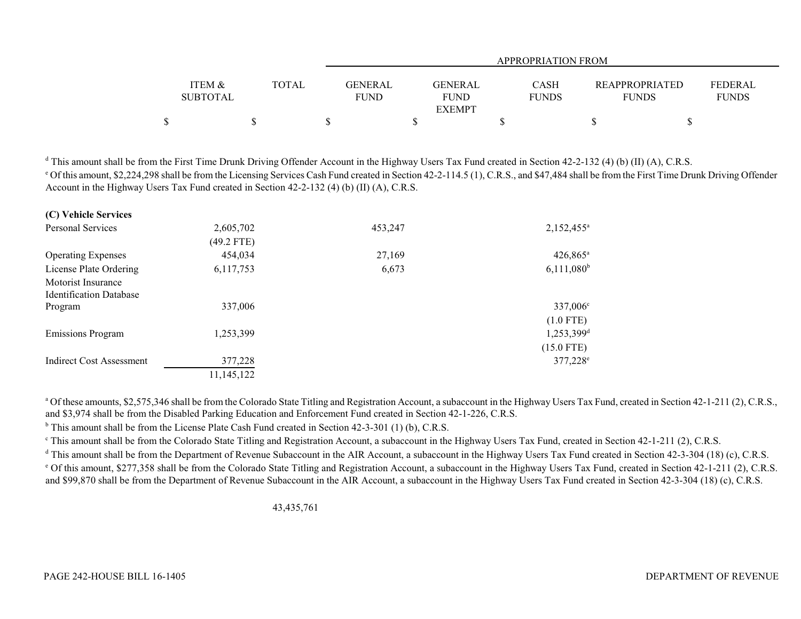|                   |              | <b>APPROPRIATION FROM</b> |               |              |                       |              |  |
|-------------------|--------------|---------------------------|---------------|--------------|-----------------------|--------------|--|
|                   |              |                           |               |              |                       |              |  |
| <b>ITEM &amp;</b> | <b>TOTAL</b> | GENERAL                   | GENERAL       | CASH         | <b>REAPPROPRIATED</b> | FEDERAL      |  |
| <b>SUBTOTAL</b>   |              | <b>FUND</b>               | <b>FUND</b>   | <b>FUNDS</b> | <b>FUNDS</b>          | <b>FUNDS</b> |  |
|                   |              |                           | <b>EXEMPT</b> |              |                       |              |  |
| \$                |              |                           |               |              |                       |              |  |

<sup>d</sup> This amount shall be from the First Time Drunk Driving Offender Account in the Highway Users Tax Fund created in Section 42-2-132 (4) (b) (II) (A), C.R.S. <sup>e</sup> Of this amount, \$2,224,298 shall be from the Licensing Services Cash Fund created in Section 42-2-114.5 (1), C.R.S., and \$47,484 shall be from the First Time Drunk Driving Offender Account in the Highway Users Tax Fund created in Section 42-2-132 (4) (b) (II) (A), C.R.S.

| (C) Vehicle Services            |            |         |                          |
|---------------------------------|------------|---------|--------------------------|
| <b>Personal Services</b>        | 2,605,702  | 453,247 | $2,152,455^a$            |
|                                 | (49.2 FTE) |         |                          |
| <b>Operating Expenses</b>       | 454,034    | 27,169  | $426,865^{\circ}$        |
| License Plate Ordering          | 6,117,753  | 6,673   | $6,111,080^b$            |
| Motorist Insurance              |            |         |                          |
| <b>Identification Database</b>  |            |         |                          |
| Program                         | 337,006    |         | 337,006 <sup>c</sup>     |
|                                 |            |         | $(1.0$ FTE)              |
| <b>Emissions Program</b>        | 1,253,399  |         | $1,253,399$ <sup>d</sup> |
|                                 |            |         | $(15.0$ FTE)             |
| <b>Indirect Cost Assessment</b> | 377,228    |         | 377,228 <sup>e</sup>     |
|                                 | 11,145,122 |         |                          |

<sup>a</sup> Of these amounts, \$2,575,346 shall be from the Colorado State Titling and Registration Account, a subaccount in the Highway Users Tax Fund, created in Section 42-1-211 (2), C.R.S., and \$3,974 shall be from the Disabled Parking Education and Enforcement Fund created in Section 42-1-226, C.R.S.

<sup>b</sup> This amount shall be from the License Plate Cash Fund created in Section 42-3-301 (1) (b), C.R.S.

<sup>c</sup> This amount shall be from the Colorado State Titling and Registration Account, a subaccount in the Highway Users Tax Fund, created in Section 42-1-211 (2), C.R.S.

<sup>d</sup> This amount shall be from the Department of Revenue Subaccount in the AIR Account, a subaccount in the Highway Users Tax Fund created in Section 42-3-304 (18) (c), C.R.S.

<sup>e</sup> Of this amount, \$277,358 shall be from the Colorado State Titling and Registration Account, a subaccount in the Highway Users Tax Fund, created in Section 42-1-211 (2), C.R.S. and \$99,870 shall be from the Department of Revenue Subaccount in the AIR Account, a subaccount in the Highway Users Tax Fund created in Section 42-3-304 (18) (c), C.R.S.

43,435,761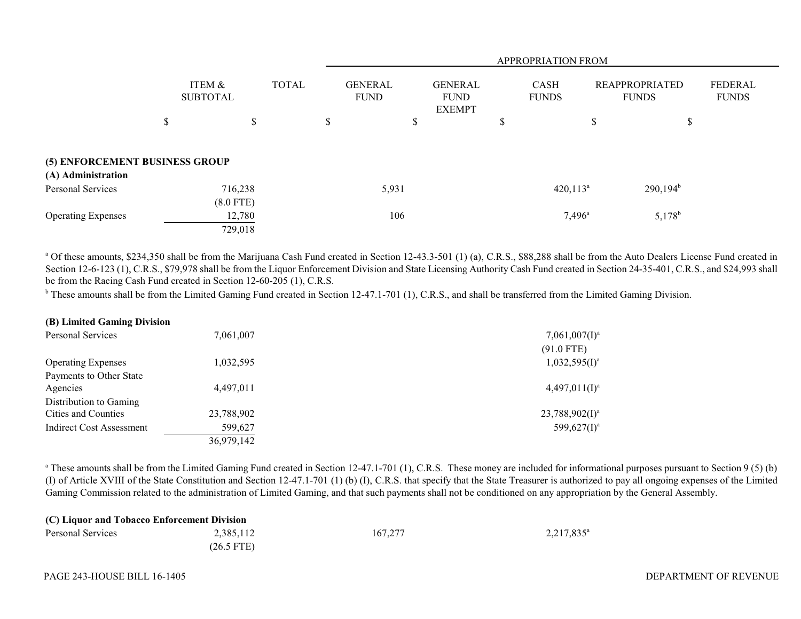|                                                      |                           |    |               |                               | <b>APPROPRIATION FROM</b> |                                                |   |                             |    |                                       |                                |
|------------------------------------------------------|---------------------------|----|---------------|-------------------------------|---------------------------|------------------------------------------------|---|-----------------------------|----|---------------------------------------|--------------------------------|
|                                                      | ITEM &<br><b>SUBTOTAL</b> |    | <b>TOTAL</b>  | <b>GENERAL</b><br><b>FUND</b> |                           | <b>GENERAL</b><br><b>FUND</b><br><b>EXEMPT</b> |   | <b>CASH</b><br><b>FUNDS</b> |    | <b>REAPPROPRIATED</b><br><b>FUNDS</b> | <b>FEDERAL</b><br><b>FUNDS</b> |
|                                                      | \$                        | \$ | <sup>\$</sup> |                               | D                         |                                                | ъ |                             | \$ | \$                                    |                                |
| (5) ENFORCEMENT BUSINESS GROUP<br>(A) Administration |                           |    |               |                               |                           |                                                |   |                             |    |                                       |                                |
| <b>Personal Services</b>                             | 716,238<br>$(8.0$ FTE)    |    |               | 5,931                         |                           |                                                |   | $420,113^a$                 |    | $290,194^{\rm b}$                     |                                |
| <b>Operating Expenses</b>                            | 12,780<br>729,018         |    |               | 106                           |                           |                                                |   | $7,496^{\circ}$             |    | $5,178^b$                             |                                |

<sup>a</sup> Of these amounts, \$234,350 shall be from the Marijuana Cash Fund created in Section 12-43.3-501 (1) (a), C.R.S., \$88,288 shall be from the Auto Dealers License Fund created in Section 12-6-123 (1), C.R.S., \$79,978 shall be from the Liquor Enforcement Division and State Licensing Authority Cash Fund created in Section 24-35-401, C.R.S., and \$24,993 shall be from the Racing Cash Fund created in Section 12-60-205 (1), C.R.S.

<sup>b</sup> These amounts shall be from the Limited Gaming Fund created in Section 12-47.1-701 (1), C.R.S., and shall be transferred from the Limited Gaming Division.

| (B) Limited Gaming Division |            |                   |
|-----------------------------|------------|-------------------|
| <b>Personal Services</b>    | 7,061,007  | $7,061,007(1)^a$  |
|                             |            | $(91.0$ FTE)      |
| <b>Operating Expenses</b>   | 1,032,595  | $1,032,595(1)^a$  |
| Payments to Other State     |            |                   |
| Agencies                    | 4,497,011  | $4,497,011(I)^a$  |
| Distribution to Gaming      |            |                   |
| Cities and Counties         | 23,788,902 | $23,788,902(1)^a$ |
| Indirect Cost Assessment    | 599,627    | 599,627 $(I)^a$   |
|                             | 36,979,142 |                   |

<sup>a</sup> These amounts shall be from the Limited Gaming Fund created in Section 12-47.1-701 (1), C.R.S. These money are included for informational purposes pursuant to Section 9 (5) (b) (I) of Article XVIII of the State Constitution and Section 12-47.1-701 (1) (b) (I), C.R.S. that specify that the State Treasurer is authorized to pay all ongoing expenses of the Limited Gaming Commission related to the administration of Limited Gaming, and that such payments shall not be conditioned on any appropriation by the General Assembly.

| (C) Liquor and Tobacco Enforcement Division |              |         |                        |  |  |  |
|---------------------------------------------|--------------|---------|------------------------|--|--|--|
| Personal Services                           | 2,385,112    | 167,277 | 2,217,835 <sup>a</sup> |  |  |  |
|                                             | $(26.5$ FTE) |         |                        |  |  |  |

### PAGE 243-HOUSE BILL 16-1405 PAGE 243-HOUSE BILL 16-1405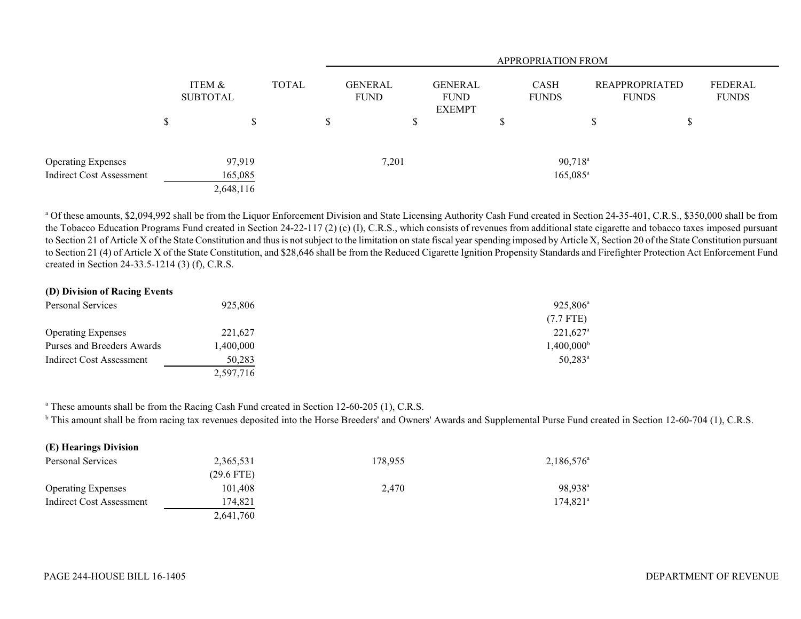|                           |   |                           |              |                               |                                                | <b>APPROPRIATION FROM</b>   |   |                                |                                |
|---------------------------|---|---------------------------|--------------|-------------------------------|------------------------------------------------|-----------------------------|---|--------------------------------|--------------------------------|
|                           |   | ITEM &<br><b>SUBTOTAL</b> | <b>TOTAL</b> | <b>GENERAL</b><br><b>FUND</b> | <b>GENERAL</b><br><b>FUND</b><br><b>EXEMPT</b> | <b>CASH</b><br><b>FUNDS</b> |   | REAPPROPRIATED<br><b>FUNDS</b> | <b>FEDERAL</b><br><b>FUNDS</b> |
|                           | S | S                         |              |                               | D.                                             |                             | S |                                |                                |
| <b>Operating Expenses</b> |   | 97,919                    |              | 7,201                         |                                                | $90,718^a$                  |   |                                |                                |
| Indirect Cost Assessment  |   | 165,085                   |              |                               |                                                | $165,085^a$                 |   |                                |                                |
|                           |   | 2,648,116                 |              |                               |                                                |                             |   |                                |                                |

<sup>a</sup> Of these amounts, \$2,094,992 shall be from the Liquor Enforcement Division and State Licensing Authority Cash Fund created in Section 24-35-401, C.R.S., \$350,000 shall be from the Tobacco Education Programs Fund created in Section 24-22-117 (2) (c) (I), C.R.S., which consists of revenues from additional state cigarette and tobacco taxes imposed pursuant to Section 21 of Article X of the State Constitution and thus is not subject to the limitation on state fiscal year spending imposed by Article X, Section 20 of the State Constitution pursuant to Section 21 (4) of Article X of the State Constitution, and \$28,646 shall be from the Reduced Cigarette Ignition Propensity Standards and Firefighter Protection Act Enforcement Fund created in Section 24-33.5-1214 (3) (f), C.R.S.

# **(D) Division of Racing Events**

| Personal Services          | 925,806   | 925,806 <sup>a</sup>     |
|----------------------------|-----------|--------------------------|
|                            |           | $(7.7$ FTE)              |
| <b>Operating Expenses</b>  | 221,627   | $221,627$ <sup>a</sup>   |
| Purses and Breeders Awards | 1,400,000 | $1,400,000$ <sup>t</sup> |
| Indirect Cost Assessment   | 50,283    | $50,283$ <sup>a</sup>    |
|                            | 2,597,716 |                          |

<sup>a</sup> These amounts shall be from the Racing Cash Fund created in Section 12-60-205 (1), C.R.S.

<sup>b</sup> This amount shall be from racing tax revenues deposited into the Horse Breeders' and Owners' Awards and Supplemental Purse Fund created in Section 12-60-704 (1), C.R.S.

| (E) Hearings Division     |              |         |                     |
|---------------------------|--------------|---------|---------------------|
| Personal Services         | 2,365,531    | 178.955 | $2,186,576^{\circ}$ |
|                           | $(29.6$ FTE) |         |                     |
| <b>Operating Expenses</b> | 101,408      | 2,470   | 98.938 <sup>a</sup> |
| Indirect Cost Assessment  | 174,821      |         | $174.821^a$         |
|                           | 2,641,760    |         |                     |

 $\mathbf{E}$  **E**  $\mathbf{E}$  **Division**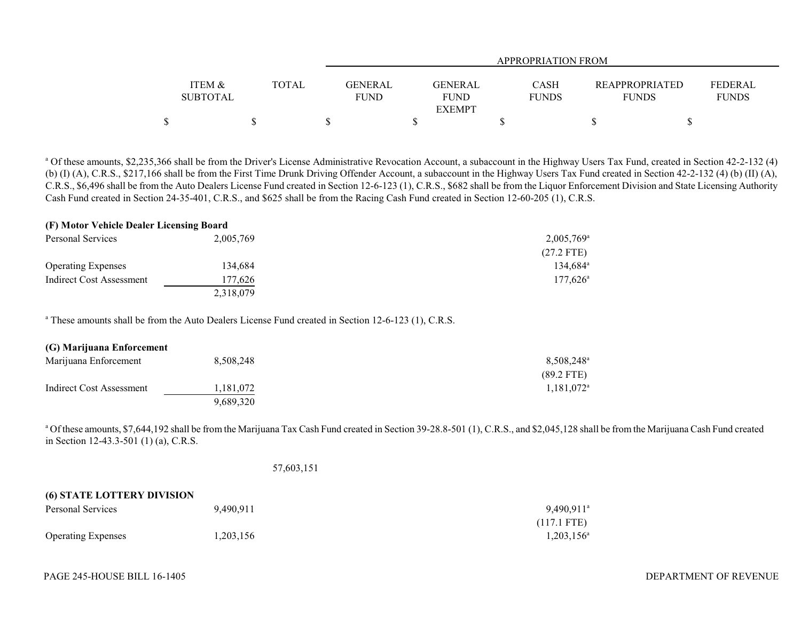|                   |       | APPROPRIATION FROM         |              |  |                                         |  |  |
|-------------------|-------|----------------------------|--------------|--|-----------------------------------------|--|--|
|                   |       |                            |              |  |                                         |  |  |
| <b>ITEM &amp;</b> | TOTAL | GENERAL<br>GENERAL         | <b>CASH</b>  |  | <b>REAPPROPRIATED</b><br><b>FEDERAL</b> |  |  |
| <b>SUBTOTAL</b>   |       | <b>FUND</b><br><b>FUND</b> | <b>FUNDS</b> |  | <b>FUNDS</b><br><b>FUNDS</b>            |  |  |
|                   |       | <b>EXEMPT</b>              |              |  |                                         |  |  |
| \$                |       |                            |              |  |                                         |  |  |

<sup>a</sup> Of these amounts, \$2,235,366 shall be from the Driver's License Administrative Revocation Account, a subaccount in the Highway Users Tax Fund, created in Section 42-2-132 (4) (b) (I) (A), C.R.S., \$217,166 shall be from the First Time Drunk Driving Offender Account, a subaccount in the Highway Users Tax Fund created in Section 42-2-132 (4) (b) (II) (A), C.R.S., \$6,496 shall be from the Auto Dealers License Fund created in Section 12-6-123 (1), C.R.S., \$682 shall be from the Liquor Enforcement Division and State Licensing Authority Cash Fund created in Section 24-35-401, C.R.S., and \$625 shall be from the Racing Cash Fund created in Section 12-60-205 (1), C.R.S.

#### **(F) Motor Vehicle Dealer Licensing Board**

| Personal Services         | 2,005,769 | $2,005,769^{\circ}$ |
|---------------------------|-----------|---------------------|
|                           |           | $(27.2$ FTE)        |
| <b>Operating Expenses</b> | 134,684   | $134.684^{\circ}$   |
| Indirect Cost Assessment  | 177.626   | $177.626^{\circ}$   |
|                           | 2,318,079 |                     |

<sup>a</sup> These amounts shall be from the Auto Dealers License Fund created in Section 12-6-123 (1), C.R.S.

| (G) Marijuana Enforcement |           |                        |
|---------------------------|-----------|------------------------|
| Marijuana Enforcement     | 8.508.248 | 8,508,248 <sup>a</sup> |
|                           |           | $(89.2$ FTE)           |
| Indirect Cost Assessment  | 1.181.072 | $1.181.072^a$          |
|                           | 9.689.320 |                        |

<sup>a</sup> Of these amounts, \$7,644,192 shall be from the Marijuana Tax Cash Fund created in Section 39-28.8-501 (1), C.R.S., and \$2,045,128 shall be from the Marijuana Cash Fund created in Section 12-43.3-501 (1) (a), C.R.S.

57,603,151

| <b>(6) STATE LOTTERY DIVISION</b> |           |                       |
|-----------------------------------|-----------|-----------------------|
| Personal Services                 | 9.490.911 | $9.490.911^{\circ}$   |
|                                   |           | $(117.1 \text{ FTE})$ |
| <b>Operating Expenses</b>         | 1,203,156 | $1,203,156^a$         |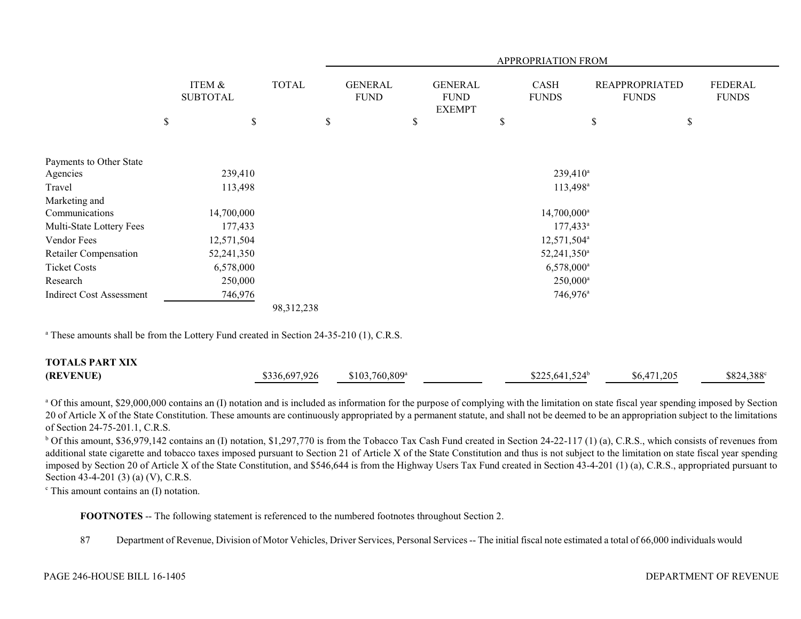|                                 |             |                           |                         |                               | APPROPRIATION FROM |                                                |  |                             |                        |                                       |    |                                |
|---------------------------------|-------------|---------------------------|-------------------------|-------------------------------|--------------------|------------------------------------------------|--|-----------------------------|------------------------|---------------------------------------|----|--------------------------------|
|                                 |             | ITEM &<br><b>SUBTOTAL</b> | <b>TOTAL</b>            | <b>GENERAL</b><br><b>FUND</b> |                    | <b>GENERAL</b><br><b>FUND</b><br><b>EXEMPT</b> |  | <b>CASH</b><br><b>FUNDS</b> |                        | <b>REAPPROPRIATED</b><br><b>FUNDS</b> |    | <b>FEDERAL</b><br><b>FUNDS</b> |
|                                 | $\mathbb S$ | \$                        |                         | \$                            |                    | \$                                             |  | $\mathbb S$                 |                        | \$                                    | \$ |                                |
|                                 |             |                           |                         |                               |                    |                                                |  |                             |                        |                                       |    |                                |
| Payments to Other State         |             |                           |                         |                               |                    |                                                |  |                             |                        |                                       |    |                                |
| Agencies                        |             | 239,410                   |                         |                               |                    |                                                |  |                             | 239,410 <sup>a</sup>   |                                       |    |                                |
| Travel                          |             | 113,498                   |                         |                               |                    |                                                |  |                             | 113,498 <sup>a</sup>   |                                       |    |                                |
| Marketing and                   |             |                           |                         |                               |                    |                                                |  |                             |                        |                                       |    |                                |
| Communications                  |             | 14,700,000                |                         |                               |                    |                                                |  |                             | $14,700,000^a$         |                                       |    |                                |
| Multi-State Lottery Fees        |             | 177,433                   |                         |                               |                    |                                                |  |                             | $177,433^a$            |                                       |    |                                |
| Vendor Fees                     |             | 12,571,504                | 12,571,504 <sup>a</sup> |                               |                    |                                                |  |                             |                        |                                       |    |                                |
| Retailer Compensation           |             | 52,241,350                |                         | 52,241,350 <sup>a</sup>       |                    |                                                |  |                             |                        |                                       |    |                                |
| <b>Ticket Costs</b>             |             | 6,578,000                 |                         |                               |                    |                                                |  |                             | 6,578,000 <sup>a</sup> |                                       |    |                                |
| Research                        |             | 250,000                   |                         |                               |                    |                                                |  |                             | $250,000^a$            |                                       |    |                                |
| <b>Indirect Cost Assessment</b> |             | 746,976                   |                         |                               |                    |                                                |  |                             | 746,976 <sup>a</sup>   |                                       |    |                                |
|                                 |             |                           | 98,312,238              |                               |                    |                                                |  |                             |                        |                                       |    |                                |

<sup>a</sup> These amounts shall be from the Lottery Fund created in Section 24-35-210 (1), C.R.S.

| <b>TOTALS PART XIX</b> |               |                             |                  |             |                    |
|------------------------|---------------|-----------------------------|------------------|-------------|--------------------|
| (REVENUE)              | \$336,697,926 | $$103.760.809$ <sup>a</sup> | $$225.641.524^b$ | \$6,471,205 | $$824,388^{\circ}$ |

<sup>a</sup> Of this amount, \$29,000,000 contains an (I) notation and is included as information for the purpose of complying with the limitation on state fiscal year spending imposed by Section 20 of Article X of the State Constitution. These amounts are continuously appropriated by a permanent statute, and shall not be deemed to be an appropriation subject to the limitations of Section 24-75-201.1, C.R.S.

<sup>b</sup> Of this amount, \$36,979,142 contains an (I) notation, \$1,297,770 is from the Tobacco Tax Cash Fund created in Section 24-22-117 (1) (a), C.R.S., which consists of revenues from additional state cigarette and tobacco taxes imposed pursuant to Section 21 of Article X of the State Constitution and thus is not subject to the limitation on state fiscal year spending imposed by Section 20 of Article X of the State Constitution, and \$546,644 is from the Highway Users Tax Fund created in Section 43-4-201 (1) (a), C.R.S., appropriated pursuant to Section 43-4-201 (3) (a) (V), C.R.S.

c This amount contains an (I) notation.

**FOOTNOTES** -- The following statement is referenced to the numbered footnotes throughout Section 2.

87 Department of Revenue, Division of Motor Vehicles, Driver Services, Personal Services -- The initial fiscal note estimated a total of 66,000 individuals would